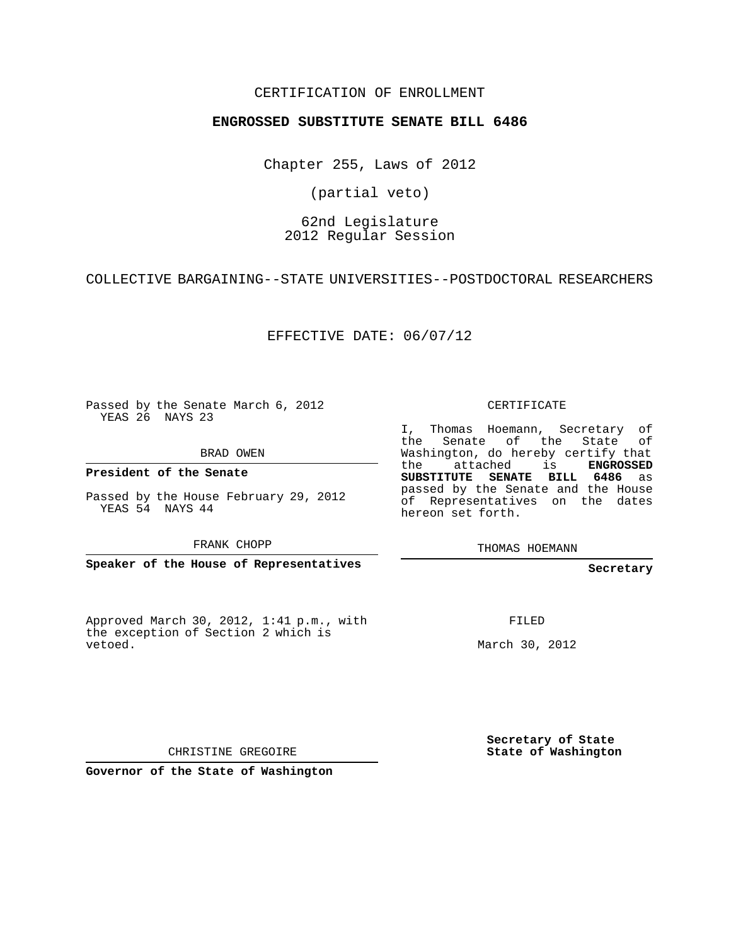## CERTIFICATION OF ENROLLMENT

### **ENGROSSED SUBSTITUTE SENATE BILL 6486**

Chapter 255, Laws of 2012

(partial veto)

## 62nd Legislature 2012 Regular Session

COLLECTIVE BARGAINING--STATE UNIVERSITIES--POSTDOCTORAL RESEARCHERS

EFFECTIVE DATE: 06/07/12

Passed by the Senate March 6, 2012 YEAS 26 NAYS 23

BRAD OWEN

**President of the Senate**

Passed by the House February 29, 2012 YEAS 54 NAYS 44

FRANK CHOPP

**Speaker of the House of Representatives**

Approved March 30, 2012, 1:41 p.m., with the exception of Section 2 which is vetoed.

CERTIFICATE

I, Thomas Hoemann, Secretary of the Senate of the State Washington, do hereby certify that the attached is **ENGROSSED SUBSTITUTE SENATE BILL 6486** as passed by the Senate and the House of Representatives on the dates hereon set forth.

THOMAS HOEMANN

#### **Secretary**

FILED

March 30, 2012

**Secretary of State State of Washington**

CHRISTINE GREGOIRE

**Governor of the State of Washington**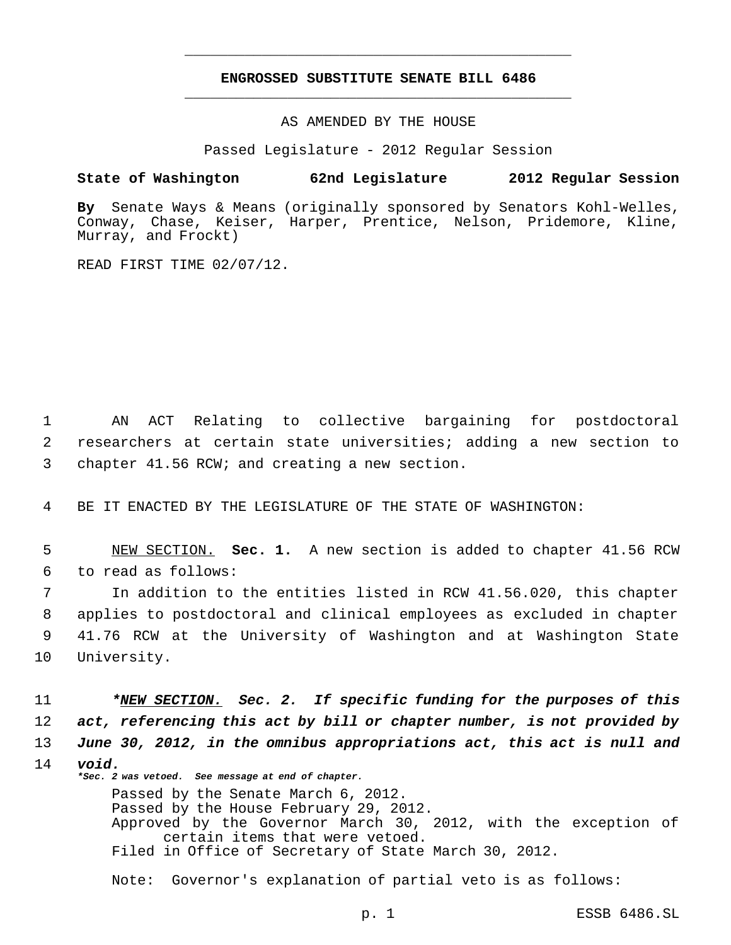# **ENGROSSED SUBSTITUTE SENATE BILL 6486** \_\_\_\_\_\_\_\_\_\_\_\_\_\_\_\_\_\_\_\_\_\_\_\_\_\_\_\_\_\_\_\_\_\_\_\_\_\_\_\_\_\_\_\_\_

\_\_\_\_\_\_\_\_\_\_\_\_\_\_\_\_\_\_\_\_\_\_\_\_\_\_\_\_\_\_\_\_\_\_\_\_\_\_\_\_\_\_\_\_\_

AS AMENDED BY THE HOUSE

Passed Legislature - 2012 Regular Session

### **State of Washington 62nd Legislature 2012 Regular Session**

**By** Senate Ways & Means (originally sponsored by Senators Kohl-Welles, Conway, Chase, Keiser, Harper, Prentice, Nelson, Pridemore, Kline, Murray, and Frockt)

READ FIRST TIME 02/07/12.

 1 AN ACT Relating to collective bargaining for postdoctoral 2 researchers at certain state universities; adding a new section to 3 chapter 41.56 RCW; and creating a new section.

4 BE IT ENACTED BY THE LEGISLATURE OF THE STATE OF WASHINGTON:

 5 NEW SECTION. **Sec. 1.** A new section is added to chapter 41.56 RCW 6 to read as follows:

 In addition to the entities listed in RCW 41.56.020, this chapter applies to postdoctoral and clinical employees as excluded in chapter 41.76 RCW at the University of Washington and at Washington State University.

11 *\*NEW SECTION. Sec. 2. If specific funding for the purposes of this* 12 *act, referencing this act by bill or chapter number, is not provided by* 13 *June 30, 2012, in the omnibus appropriations act, this act is null and* 14 *void. \*Sec. 2 was vetoed. See message at end of chapter.*

> Passed by the Senate March 6, 2012. Passed by the House February 29, 2012. Approved by the Governor March 30, 2012, with the exception of certain items that were vetoed. Filed in Office of Secretary of State March 30, 2012.

Note: Governor's explanation of partial veto is as follows: